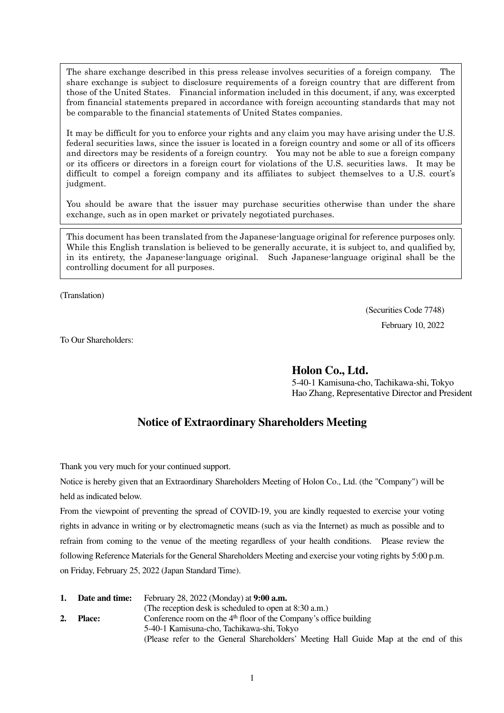The share exchange described in this press release involves securities of a foreign company. The share exchange is subject to disclosure requirements of a foreign country that are different from those of the United States. Financial information included in this document, if any, was excerpted from financial statements prepared in accordance with foreign accounting standards that may not be comparable to the financial statements of United States companies.

It may be difficult for you to enforce your rights and any claim you may have arising under the U.S. federal securities laws, since the issuer is located in a foreign country and some or all of its officers and directors may be residents of a foreign country. You may not be able to sue a foreign company or its officers or directors in a foreign court for violations of the U.S. securities laws. It may be difficult to compel a foreign company and its affiliates to subject themselves to a U.S. court's judgment.

You should be aware that the issuer may purchase securities otherwise than under the share exchange, such as in open market or privately negotiated purchases.

This document has been translated from the Japanese-language original for reference purposes only. While this English translation is believed to be generally accurate, it is subject to, and qualified by, in its entirety, the Japanese-language original. Such Japanese-language original shall be the controlling document for all purposes.

(Translation)

(Securities Code 7748) February 10, 2022

To Our Shareholders:

**Holon Co., Ltd.** 

5-40-1 Kamisuna-cho, Tachikawa-shi, Tokyo Hao Zhang, Representative Director and President

# **Notice of Extraordinary Shareholders Meeting**

Thank you very much for your continued support.

Notice is hereby given that an Extraordinary Shareholders Meeting of Holon Co., Ltd. (the "Company") will be held as indicated below.

From the viewpoint of preventing the spread of COVID-19, you are kindly requested to exercise your voting rights in advance in writing or by electromagnetic means (such as via the Internet) as much as possible and to refrain from coming to the venue of the meeting regardless of your health conditions. Please review the following Reference Materials for the General Shareholders Meeting and exercise your voting rights by 5:00 p.m. on Friday, February 25, 2022 (Japan Standard Time).

| 1. | <b>Date and time:</b> | February 28, 2022 (Monday) at 9:00 a.m.                                              |  |
|----|-----------------------|--------------------------------------------------------------------------------------|--|
|    |                       | (The reception desk is scheduled to open at 8:30 a.m.)                               |  |
| 2. | <b>Place:</b>         | Conference room on the $4th$ floor of the Company's office building                  |  |
|    |                       | 5-40-1 Kamisuna-cho, Tachikawa-shi, Tokyo                                            |  |
|    |                       | (Please refer to the General Shareholders' Meeting Hall Guide Map at the end of this |  |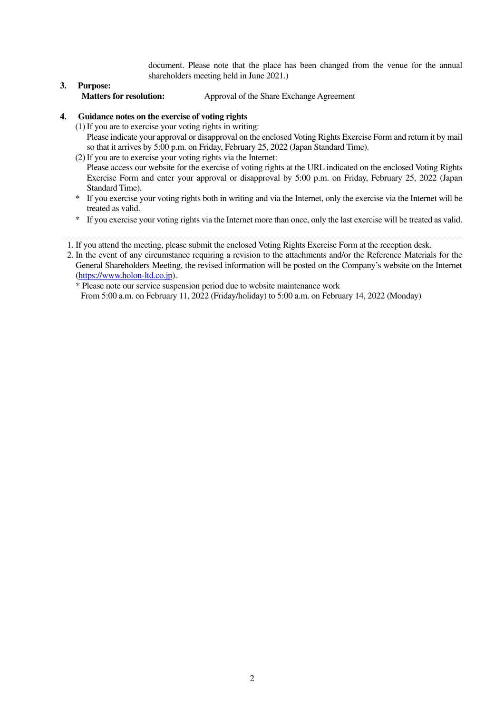document. Please note that the place has been changed from the venue for the annual shareholders meeting held in June 2021.)

**3. Purpose:** Approval of the Share Exchange Agreement

# **4. Guidance notes on the exercise of voting rights**

- (1) If you are to exercise your voting rights in writing: Please indicate your approval or disapproval on the enclosed Voting Rights Exercise Form and return it by mail so that it arrives by 5:00 p.m. on Friday, February 25, 2022 (Japan Standard Time).
- (2) If you are to exercise your voting rights via the Internet: Please access our website for the exercise of voting rights at the URL indicated on the enclosed Voting Rights Exercise Form and enter your approval or disapproval by 5:00 p.m. on Friday, February 25, 2022 (Japan Standard Time).
- \* If you exercise your voting rights both in writing and via the Internet, only the exercise via the Internet will be treated as valid.
- \* If you exercise your voting rights via the Internet more than once, only the last exercise will be treated as valid.
- 1. If you attend the meeting, please submit the enclosed Voting Rights Exercise Form at the reception desk.
- 2. In the event of any circumstance requiring a revision to the attachments and/or the Reference Materials for the General Shareholders Meeting, the revised information will be posted on the Company's website on the Internet (https://www.holon-ltd.co.jp).

\* Please note our service suspension period due to website maintenance work From 5:00 a.m. on February 11, 2022 (Friday/holiday) to 5:00 a.m. on February 14, 2022 (Monday)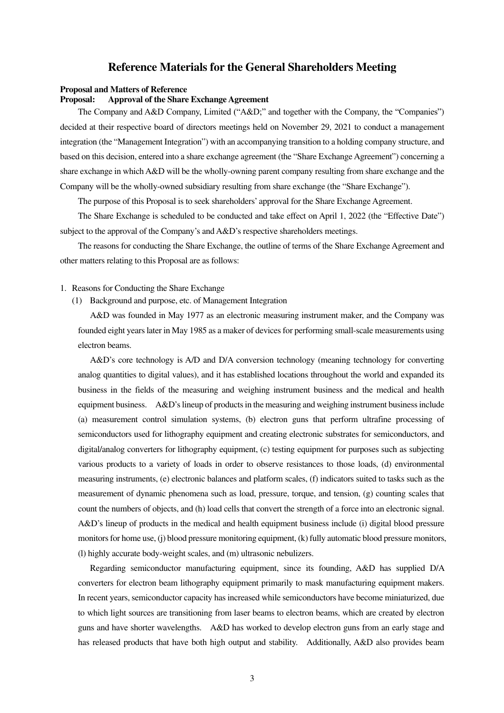# **Reference Materials for the General Shareholders Meeting**

#### **Proposal and Matters of Reference**

#### **Proposal: Approval of the Share Exchange Agreement**

The Company and A&D Company, Limited ("A&D;" and together with the Company, the "Companies") decided at their respective board of directors meetings held on November 29, 2021 to conduct a management integration (the "Management Integration") with an accompanying transition to a holding company structure, and based on this decision, entered into a share exchange agreement (the "Share Exchange Agreement") concerning a share exchange in which A&D will be the wholly-owning parent company resulting from share exchange and the Company will be the wholly-owned subsidiary resulting from share exchange (the "Share Exchange").

The purpose of this Proposal is to seek shareholders' approval for the Share Exchange Agreement.

The Share Exchange is scheduled to be conducted and take effect on April 1, 2022 (the "Effective Date") subject to the approval of the Company's and A&D's respective shareholders meetings.

The reasons for conducting the Share Exchange, the outline of terms of the Share Exchange Agreement and other matters relating to this Proposal are as follows:

- 1. Reasons for Conducting the Share Exchange
	- (1) Background and purpose, etc. of Management Integration

A&D was founded in May 1977 as an electronic measuring instrument maker, and the Company was founded eight years later in May 1985 as a maker of devices for performing small-scale measurements using electron beams.

A&D's core technology is A/D and D/A conversion technology (meaning technology for converting analog quantities to digital values), and it has established locations throughout the world and expanded its business in the fields of the measuring and weighing instrument business and the medical and health equipment business. A&D's lineup of products in the measuring and weighing instrument business include (a) measurement control simulation systems, (b) electron guns that perform ultrafine processing of semiconductors used for lithography equipment and creating electronic substrates for semiconductors, and digital/analog converters for lithography equipment, (c) testing equipment for purposes such as subjecting various products to a variety of loads in order to observe resistances to those loads, (d) environmental measuring instruments, (e) electronic balances and platform scales, (f) indicators suited to tasks such as the measurement of dynamic phenomena such as load, pressure, torque, and tension, (g) counting scales that count the numbers of objects, and (h) load cells that convert the strength of a force into an electronic signal. A&D's lineup of products in the medical and health equipment business include (i) digital blood pressure monitors for home use, (j) blood pressure monitoring equipment, (k) fully automatic blood pressure monitors, (l) highly accurate body-weight scales, and (m) ultrasonic nebulizers.

Regarding semiconductor manufacturing equipment, since its founding, A&D has supplied D/A converters for electron beam lithography equipment primarily to mask manufacturing equipment makers. In recent years, semiconductor capacity has increased while semiconductors have become miniaturized, due to which light sources are transitioning from laser beams to electron beams, which are created by electron guns and have shorter wavelengths. A&D has worked to develop electron guns from an early stage and has released products that have both high output and stability. Additionally, A&D also provides beam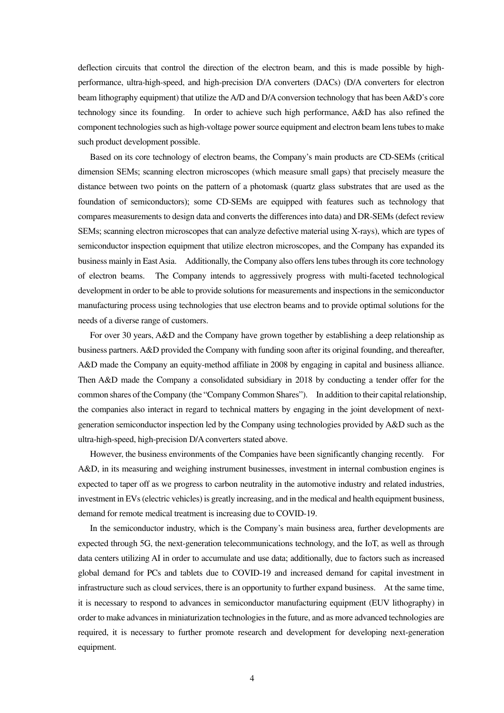deflection circuits that control the direction of the electron beam, and this is made possible by highperformance, ultra-high-speed, and high-precision D/A converters (DACs) (D/A converters for electron beam lithography equipment) that utilize the A/D and D/A conversion technology that has been A&D's core technology since its founding. In order to achieve such high performance, A&D has also refined the component technologies such as high-voltage power source equipment and electron beam lens tubes to make such product development possible.

Based on its core technology of electron beams, the Company's main products are CD-SEMs (critical dimension SEMs; scanning electron microscopes (which measure small gaps) that precisely measure the distance between two points on the pattern of a photomask (quartz glass substrates that are used as the foundation of semiconductors); some CD-SEMs are equipped with features such as technology that compares measurements to design data and converts the differences into data) and DR-SEMs (defect review SEMs; scanning electron microscopes that can analyze defective material using X-rays), which are types of semiconductor inspection equipment that utilize electron microscopes, and the Company has expanded its business mainly in East Asia. Additionally, the Company also offers lens tubes through its core technology of electron beams. The Company intends to aggressively progress with multi-faceted technological development in order to be able to provide solutions for measurements and inspections in the semiconductor manufacturing process using technologies that use electron beams and to provide optimal solutions for the needs of a diverse range of customers.

For over 30 years, A&D and the Company have grown together by establishing a deep relationship as business partners. A&D provided the Company with funding soon after its original founding, and thereafter, A&D made the Company an equity-method affiliate in 2008 by engaging in capital and business alliance. Then A&D made the Company a consolidated subsidiary in 2018 by conducting a tender offer for the common shares of the Company (the "Company Common Shares"). In addition to their capital relationship, the companies also interact in regard to technical matters by engaging in the joint development of nextgeneration semiconductor inspection led by the Company using technologies provided by A&D such as the ultra-high-speed, high-precision D/A converters stated above.

However, the business environments of the Companies have been significantly changing recently. For A&D, in its measuring and weighing instrument businesses, investment in internal combustion engines is expected to taper off as we progress to carbon neutrality in the automotive industry and related industries, investment in EVs (electric vehicles) is greatly increasing, and in the medical and health equipment business, demand for remote medical treatment is increasing due to COVID-19.

In the semiconductor industry, which is the Company's main business area, further developments are expected through 5G, the next-generation telecommunications technology, and the IoT, as well as through data centers utilizing AI in order to accumulate and use data; additionally, due to factors such as increased global demand for PCs and tablets due to COVID-19 and increased demand for capital investment in infrastructure such as cloud services, there is an opportunity to further expand business. At the same time, it is necessary to respond to advances in semiconductor manufacturing equipment (EUV lithography) in order to make advances in miniaturization technologies in the future, and as more advanced technologies are required, it is necessary to further promote research and development for developing next-generation equipment.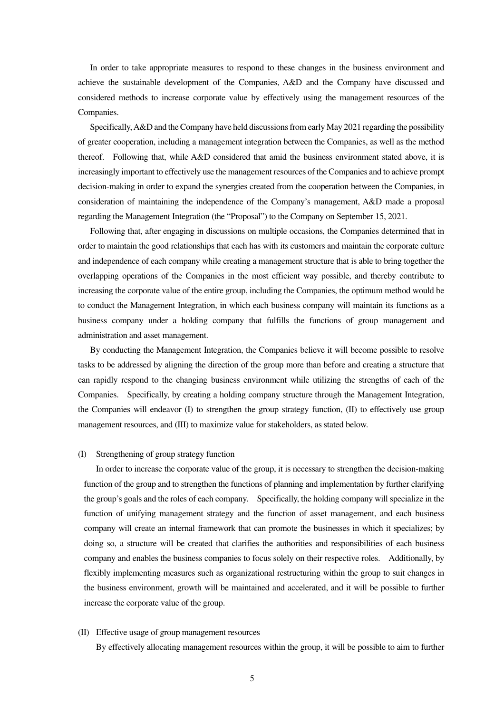In order to take appropriate measures to respond to these changes in the business environment and achieve the sustainable development of the Companies, A&D and the Company have discussed and considered methods to increase corporate value by effectively using the management resources of the Companies.

Specifically, A&D and the Company have held discussions from early May 2021 regarding the possibility of greater cooperation, including a management integration between the Companies, as well as the method thereof. Following that, while A&D considered that amid the business environment stated above, it is increasingly important to effectively use the management resources of the Companies and to achieve prompt decision-making in order to expand the synergies created from the cooperation between the Companies, in consideration of maintaining the independence of the Company's management, A&D made a proposal regarding the Management Integration (the "Proposal") to the Company on September 15, 2021.

Following that, after engaging in discussions on multiple occasions, the Companies determined that in order to maintain the good relationships that each has with its customers and maintain the corporate culture and independence of each company while creating a management structure that is able to bring together the overlapping operations of the Companies in the most efficient way possible, and thereby contribute to increasing the corporate value of the entire group, including the Companies, the optimum method would be to conduct the Management Integration, in which each business company will maintain its functions as a business company under a holding company that fulfills the functions of group management and administration and asset management.

By conducting the Management Integration, the Companies believe it will become possible to resolve tasks to be addressed by aligning the direction of the group more than before and creating a structure that can rapidly respond to the changing business environment while utilizing the strengths of each of the Companies. Specifically, by creating a holding company structure through the Management Integration, the Companies will endeavor (I) to strengthen the group strategy function, (II) to effectively use group management resources, and (III) to maximize value for stakeholders, as stated below.

#### (I) Strengthening of group strategy function

In order to increase the corporate value of the group, it is necessary to strengthen the decision-making function of the group and to strengthen the functions of planning and implementation by further clarifying the group's goals and the roles of each company. Specifically, the holding company will specialize in the function of unifying management strategy and the function of asset management, and each business company will create an internal framework that can promote the businesses in which it specializes; by doing so, a structure will be created that clarifies the authorities and responsibilities of each business company and enables the business companies to focus solely on their respective roles. Additionally, by flexibly implementing measures such as organizational restructuring within the group to suit changes in the business environment, growth will be maintained and accelerated, and it will be possible to further increase the corporate value of the group.

#### (II) Effective usage of group management resources

By effectively allocating management resources within the group, it will be possible to aim to further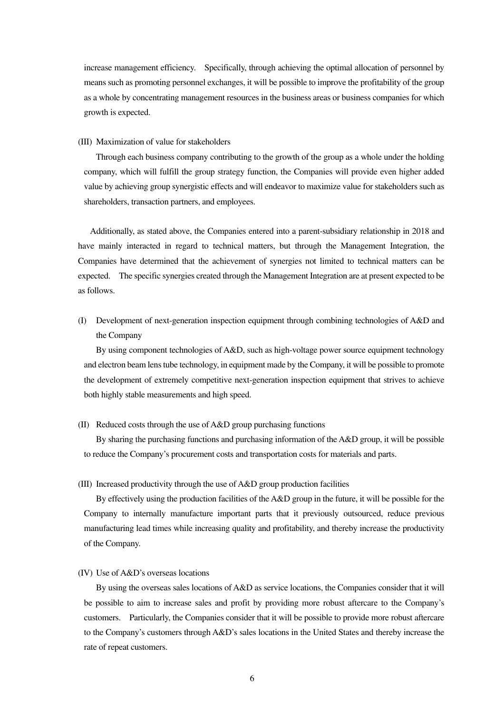increase management efficiency. Specifically, through achieving the optimal allocation of personnel by means such as promoting personnel exchanges, it will be possible to improve the profitability of the group as a whole by concentrating management resources in the business areas or business companies for which growth is expected.

#### (III) Maximization of value for stakeholders

Through each business company contributing to the growth of the group as a whole under the holding company, which will fulfill the group strategy function, the Companies will provide even higher added value by achieving group synergistic effects and will endeavor to maximize value for stakeholders such as shareholders, transaction partners, and employees.

Additionally, as stated above, the Companies entered into a parent-subsidiary relationship in 2018 and have mainly interacted in regard to technical matters, but through the Management Integration, the Companies have determined that the achievement of synergies not limited to technical matters can be expected. The specific synergies created through the Management Integration are at present expected to be as follows.

(I) Development of next-generation inspection equipment through combining technologies of A&D and the Company

By using component technologies of A&D, such as high-voltage power source equipment technology and electron beam lens tube technology, in equipment made by the Company, it will be possible to promote the development of extremely competitive next-generation inspection equipment that strives to achieve both highly stable measurements and high speed.

(II) Reduced costs through the use of A&D group purchasing functions

By sharing the purchasing functions and purchasing information of the A&D group, it will be possible to reduce the Company's procurement costs and transportation costs for materials and parts.

(III) Increased productivity through the use of A&D group production facilities

By effectively using the production facilities of the A&D group in the future, it will be possible for the Company to internally manufacture important parts that it previously outsourced, reduce previous manufacturing lead times while increasing quality and profitability, and thereby increase the productivity of the Company.

(IV) Use of A&D's overseas locations

By using the overseas sales locations of A&D as service locations, the Companies consider that it will be possible to aim to increase sales and profit by providing more robust aftercare to the Company's customers. Particularly, the Companies consider that it will be possible to provide more robust aftercare to the Company's customers through A&D's sales locations in the United States and thereby increase the rate of repeat customers.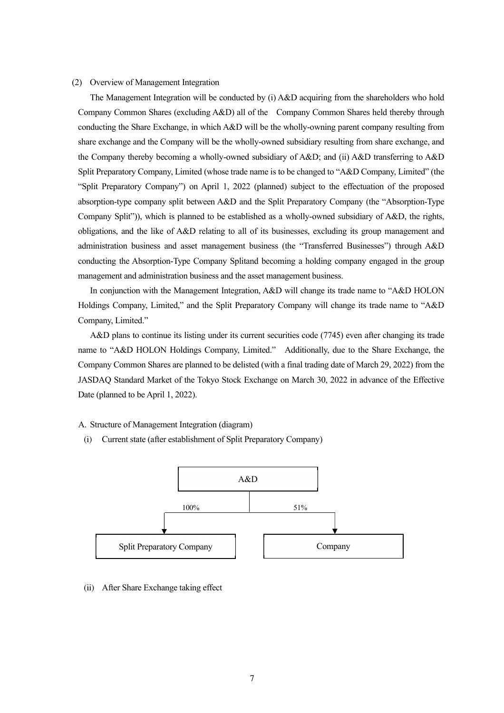#### (2) Overview of Management Integration

The Management Integration will be conducted by (i) A&D acquiring from the shareholders who hold Company Common Shares (excluding A&D) all of the Company Common Shares held thereby through conducting the Share Exchange, in which A&D will be the wholly-owning parent company resulting from share exchange and the Company will be the wholly-owned subsidiary resulting from share exchange, and the Company thereby becoming a wholly-owned subsidiary of A&D; and (ii) A&D transferring to A&D Split Preparatory Company, Limited (whose trade name is to be changed to "A&D Company, Limited" (the "Split Preparatory Company") on April 1, 2022 (planned) subject to the effectuation of the proposed absorption-type company split between A&D and the Split Preparatory Company (the "Absorption-Type Company Split")), which is planned to be established as a wholly-owned subsidiary of A&D, the rights, obligations, and the like of A&D relating to all of its businesses, excluding its group management and administration business and asset management business (the "Transferred Businesses") through A&D conducting the Absorption-Type Company Splitand becoming a holding company engaged in the group management and administration business and the asset management business.

In conjunction with the Management Integration, A&D will change its trade name to "A&D HOLON Holdings Company, Limited," and the Split Preparatory Company will change its trade name to "A&D Company, Limited."

A&D plans to continue its listing under its current securities code (7745) even after changing its trade name to "A&D HOLON Holdings Company, Limited." Additionally, due to the Share Exchange, the Company Common Shares are planned to be delisted (with a final trading date of March 29, 2022) from the JASDAQ Standard Market of the Tokyo Stock Exchange on March 30, 2022 in advance of the Effective Date (planned to be April 1, 2022).

A. Structure of Management Integration (diagram)

(i) Current state (after establishment of Split Preparatory Company)



(ii) After Share Exchange taking effect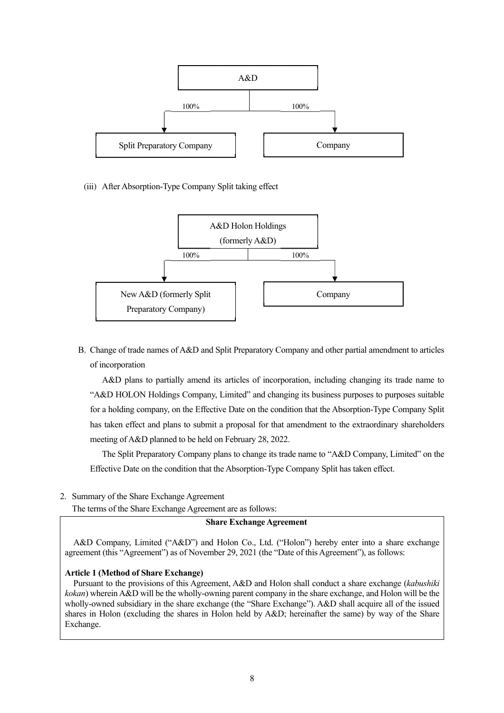

### (iii) After Absorption-Type Company Split taking effect



B. Change of trade names of A&D and Split Preparatory Company and other partial amendment to articles of incorporation

A&D plans to partially amend its articles of incorporation, including changing its trade name to "A&D HOLON Holdings Company, Limited" and changing its business purposes to purposes suitable for a holding company, on the Effective Date on the condition that the Absorption-Type Company Split has taken effect and plans to submit a proposal for that amendment to the extraordinary shareholders meeting of A&D planned to be held on February 28, 2022.

The Split Preparatory Company plans to change its trade name to "A&D Company, Limited" on the Effective Date on the condition that the Absorption-Type Company Split has taken effect.

2. Summary of the Share Exchange Agreement

The terms of the Share Exchange Agreement are as follows:

#### **Share Exchange Agreement**

A&D Company, Limited ("A&D") and Holon Co., Ltd. ("Holon") hereby enter into a share exchange agreement (this "Agreement") as of November 29, 2021 (the "Date of this Agreement"), as follows:

#### **Article 1 (Method of Share Exchange)**

Pursuant to the provisions of this Agreement, A&D and Holon shall conduct a share exchange (*kabushiki kokan*) wherein A&D will be the wholly-owning parent company in the share exchange, and Holon will be the wholly-owned subsidiary in the share exchange (the "Share Exchange"). A&D shall acquire all of the issued shares in Holon (excluding the shares in Holon held by A&D; hereinafter the same) by way of the Share Exchange.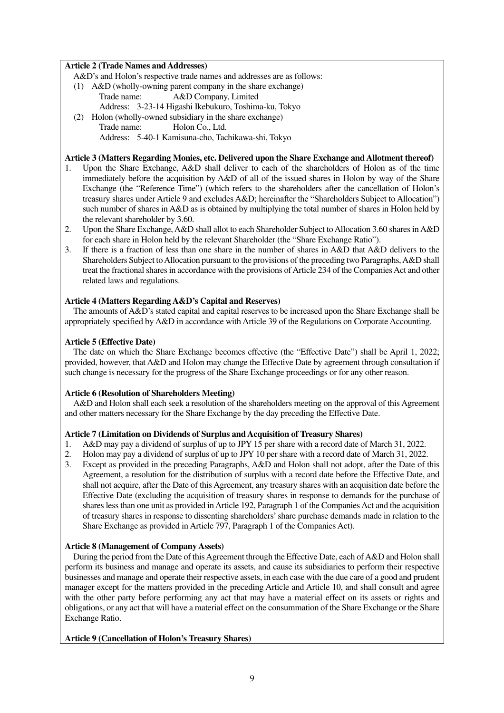### **Article 2 (Trade Names and Addresses)**

A&D's and Holon's respective trade names and addresses are as follows:

- (1) A&D (wholly-owning parent company in the share exchange) Trade name: A&D Company, Limited Address: 3-23-14 Higashi Ikebukuro, Toshima-ku, Tokyo
- (2) Holon (wholly-owned subsidiary in the share exchange) Trade name: Holon Co., Ltd. Address: 5-40-1 Kamisuna-cho, Tachikawa-shi, Tokyo

# **Article 3 (Matters Regarding Monies, etc. Delivered upon the Share Exchange and Allotment thereof)**

- 1. Upon the Share Exchange, A&D shall deliver to each of the shareholders of Holon as of the time immediately before the acquisition by A&D of all of the issued shares in Holon by way of the Share Exchange (the "Reference Time") (which refers to the shareholders after the cancellation of Holon's treasury shares under Article 9 and excludes A&D; hereinafter the "Shareholders Subject to Allocation") such number of shares in A&D as is obtained by multiplying the total number of shares in Holon held by the relevant shareholder by 3.60.
- 2. Upon the Share Exchange, A&D shall allot to each Shareholder Subject to Allocation 3.60 shares in A&D for each share in Holon held by the relevant Shareholder (the "Share Exchange Ratio").
- 3. If there is a fraction of less than one share in the number of shares in A&D that A&D delivers to the Shareholders Subject to Allocation pursuant to the provisions of the preceding two Paragraphs, A&D shall treat the fractional shares in accordance with the provisions of Article 234 of the Companies Act and other related laws and regulations.

### **Article 4 (Matters Regarding A&D's Capital and Reserves)**

The amounts of A&D's stated capital and capital reserves to be increased upon the Share Exchange shall be appropriately specified by A&D in accordance with Article 39 of the Regulations on Corporate Accounting.

### **Article 5 (Effective Date)**

The date on which the Share Exchange becomes effective (the "Effective Date") shall be April 1, 2022; provided, however, that A&D and Holon may change the Effective Date by agreement through consultation if such change is necessary for the progress of the Share Exchange proceedings or for any other reason.

# **Article 6 (Resolution of Shareholders Meeting)**

A&D and Holon shall each seek a resolution of the shareholders meeting on the approval of this Agreement and other matters necessary for the Share Exchange by the day preceding the Effective Date.

# **Article 7 (Limitation on Dividends of Surplus and Acquisition of Treasury Shares)**

- 1. A&D may pay a dividend of surplus of up to JPY 15 per share with a record date of March 31, 2022.
- 2. Holon may pay a dividend of surplus of up to JPY 10 per share with a record date of March 31, 2022.
- 3. Except as provided in the preceding Paragraphs, A&D and Holon shall not adopt, after the Date of this Agreement, a resolution for the distribution of surplus with a record date before the Effective Date, and shall not acquire, after the Date of this Agreement, any treasury shares with an acquisition date before the Effective Date (excluding the acquisition of treasury shares in response to demands for the purchase of shares less than one unit as provided in Article 192, Paragraph 1 of the Companies Act and the acquisition of treasury shares in response to dissenting shareholders' share purchase demands made in relation to the Share Exchange as provided in Article 797, Paragraph 1 of the Companies Act).

# **Article 8 (Management of Company Assets)**

During the period from the Date of this Agreement through the Effective Date, each of A&D and Holon shall perform its business and manage and operate its assets, and cause its subsidiaries to perform their respective businesses and manage and operate their respective assets, in each case with the due care of a good and prudent manager except for the matters provided in the preceding Article and Article 10, and shall consult and agree with the other party before performing any act that may have a material effect on its assets or rights and obligations, or any act that will have a material effect on the consummation of the Share Exchange or the Share Exchange Ratio.

# **Article 9 (Cancellation of Holon's Treasury Shares)**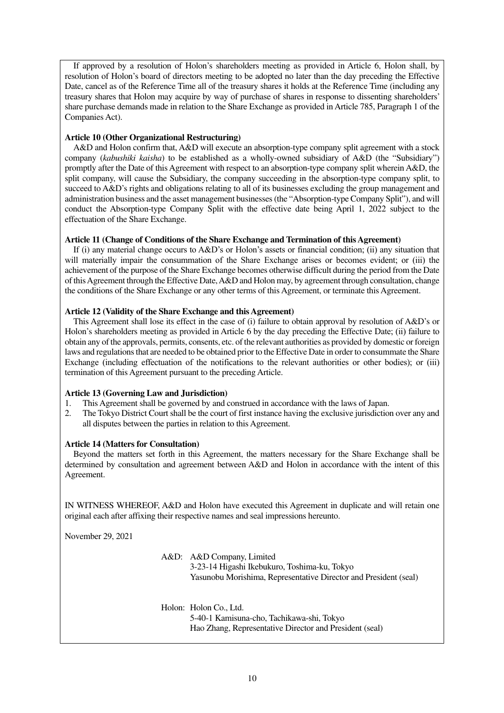If approved by a resolution of Holon's shareholders meeting as provided in Article 6, Holon shall, by resolution of Holon's board of directors meeting to be adopted no later than the day preceding the Effective Date, cancel as of the Reference Time all of the treasury shares it holds at the Reference Time (including any treasury shares that Holon may acquire by way of purchase of shares in response to dissenting shareholders' share purchase demands made in relation to the Share Exchange as provided in Article 785, Paragraph 1 of the Companies Act).

### **Article 10 (Other Organizational Restructuring)**

A&D and Holon confirm that, A&D will execute an absorption-type company split agreement with a stock company (*kabushiki kaisha*) to be established as a wholly-owned subsidiary of A&D (the "Subsidiary") promptly after the Date of this Agreement with respect to an absorption-type company split wherein A&D, the split company, will cause the Subsidiary, the company succeeding in the absorption-type company split, to succeed to A&D's rights and obligations relating to all of its businesses excluding the group management and administration business and the asset management businesses (the "Absorption-type Company Split"), and will conduct the Absorption-type Company Split with the effective date being April 1, 2022 subject to the effectuation of the Share Exchange.

### **Article 11 (Change of Conditions of the Share Exchange and Termination of this Agreement)**

If (i) any material change occurs to A&D's or Holon's assets or financial condition; (ii) any situation that will materially impair the consummation of the Share Exchange arises or becomes evident; or (iii) the achievement of the purpose of the Share Exchange becomes otherwise difficult during the period from the Date of this Agreement through the Effective Date, A&D and Holon may, by agreement through consultation, change the conditions of the Share Exchange or any other terms of this Agreement, or terminate this Agreement.

### **Article 12 (Validity of the Share Exchange and this Agreement)**

This Agreement shall lose its effect in the case of (i) failure to obtain approval by resolution of A&D's or Holon's shareholders meeting as provided in Article 6 by the day preceding the Effective Date; (ii) failure to obtain any of the approvals, permits, consents, etc. of the relevant authorities as provided by domestic or foreign laws and regulations that are needed to be obtained prior to the Effective Date in order to consummate the Share Exchange (including effectuation of the notifications to the relevant authorities or other bodies); or (iii) termination of this Agreement pursuant to the preceding Article.

# **Article 13 (Governing Law and Jurisdiction)**

- 1. This Agreement shall be governed by and construed in accordance with the laws of Japan.
- 2. The Tokyo District Court shall be the court of first instance having the exclusive jurisdiction over any and all disputes between the parties in relation to this Agreement.

# **Article 14 (Matters for Consultation)**

Beyond the matters set forth in this Agreement, the matters necessary for the Share Exchange shall be determined by consultation and agreement between A&D and Holon in accordance with the intent of this Agreement.

IN WITNESS WHEREOF, A&D and Holon have executed this Agreement in duplicate and will retain one original each after affixing their respective names and seal impressions hereunto.

November 29, 2021

A&D: A&D Company, Limited 3-23-14 Higashi Ikebukuro, Toshima-ku, Tokyo Yasunobu Morishima, Representative Director and President (seal)

Holon: Holon Co., Ltd. 5-40-1 Kamisuna-cho, Tachikawa-shi, Tokyo Hao Zhang, Representative Director and President (seal)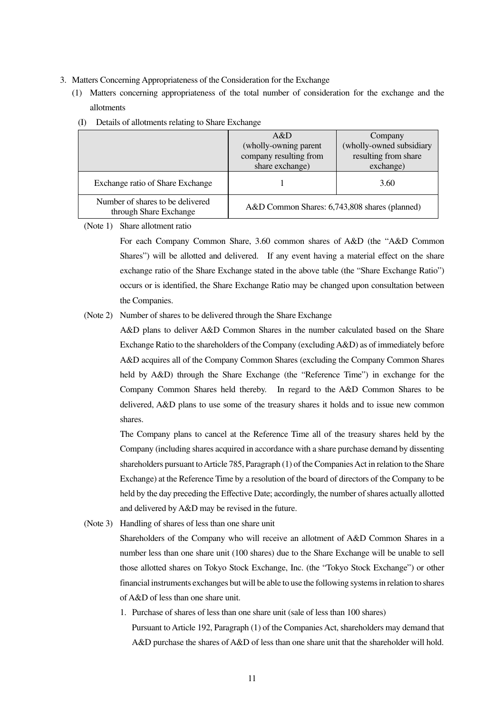- 3. Matters Concerning Appropriateness of the Consideration for the Exchange
	- (1) Matters concerning appropriateness of the total number of consideration for the exchange and the allotments

|                                                            | A&D                                           | Company                  |
|------------------------------------------------------------|-----------------------------------------------|--------------------------|
|                                                            | (wholly-owning parent)                        | (wholly-owned subsidiary |
|                                                            | company resulting from                        | resulting from share     |
|                                                            | share exchange)                               | exchange)                |
| Exchange ratio of Share Exchange                           |                                               | 3.60                     |
| Number of shares to be delivered<br>through Share Exchange | A&D Common Shares: 6,743,808 shares (planned) |                          |

(I) Details of allotments relating to Share Exchange

(Note 1) Share allotment ratio

For each Company Common Share, 3.60 common shares of A&D (the "A&D Common Shares") will be allotted and delivered. If any event having a material effect on the share exchange ratio of the Share Exchange stated in the above table (the "Share Exchange Ratio") occurs or is identified, the Share Exchange Ratio may be changed upon consultation between the Companies.

#### (Note 2) Number of shares to be delivered through the Share Exchange

A&D plans to deliver A&D Common Shares in the number calculated based on the Share Exchange Ratio to the shareholders of the Company (excluding A&D) as of immediately before A&D acquires all of the Company Common Shares (excluding the Company Common Shares held by A&D) through the Share Exchange (the "Reference Time") in exchange for the Company Common Shares held thereby. In regard to the A&D Common Shares to be delivered, A&D plans to use some of the treasury shares it holds and to issue new common shares.

The Company plans to cancel at the Reference Time all of the treasury shares held by the Company (including shares acquired in accordance with a share purchase demand by dissenting shareholders pursuant to Article 785, Paragraph (1) of the Companies Act in relation to the Share Exchange) at the Reference Time by a resolution of the board of directors of the Company to be held by the day preceding the Effective Date; accordingly, the number of shares actually allotted and delivered by A&D may be revised in the future.

(Note 3) Handling of shares of less than one share unit

Shareholders of the Company who will receive an allotment of A&D Common Shares in a number less than one share unit (100 shares) due to the Share Exchange will be unable to sell those allotted shares on Tokyo Stock Exchange, Inc. (the "Tokyo Stock Exchange") or other financial instruments exchanges but will be able to use the following systems in relation to shares of A&D of less than one share unit.

1. Purchase of shares of less than one share unit (sale of less than 100 shares) Pursuant to Article 192, Paragraph (1) of the Companies Act, shareholders may demand that A&D purchase the shares of A&D of less than one share unit that the shareholder will hold.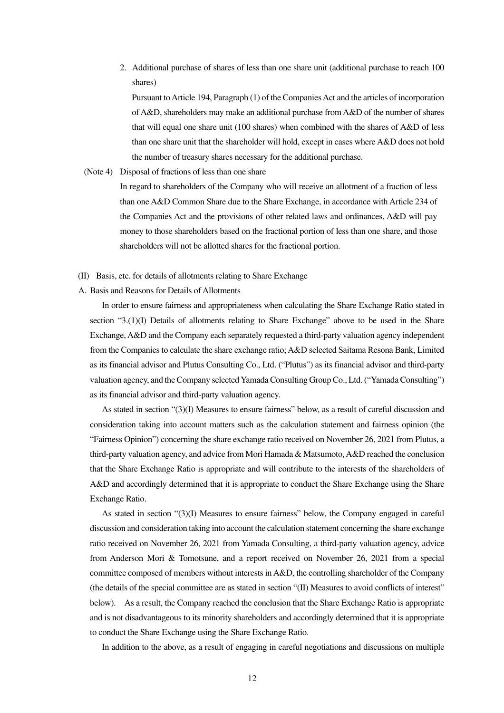2. Additional purchase of shares of less than one share unit (additional purchase to reach 100 shares)

Pursuant to Article 194, Paragraph (1) of the Companies Act and the articles of incorporation of A&D, shareholders may make an additional purchase from A&D of the number of shares that will equal one share unit (100 shares) when combined with the shares of A&D of less than one share unit that the shareholder will hold, except in cases where A&D does not hold the number of treasury shares necessary for the additional purchase.

(Note 4) Disposal of fractions of less than one share

In regard to shareholders of the Company who will receive an allotment of a fraction of less than one A&D Common Share due to the Share Exchange, in accordance with Article 234 of the Companies Act and the provisions of other related laws and ordinances, A&D will pay money to those shareholders based on the fractional portion of less than one share, and those shareholders will not be allotted shares for the fractional portion.

- (II) Basis, etc. for details of allotments relating to Share Exchange
- A. Basis and Reasons for Details of Allotments

In order to ensure fairness and appropriateness when calculating the Share Exchange Ratio stated in section "3.(1)(I) Details of allotments relating to Share Exchange" above to be used in the Share Exchange, A&D and the Company each separately requested a third-party valuation agency independent from the Companies to calculate the share exchange ratio; A&D selected Saitama Resona Bank, Limited as its financial advisor and Plutus Consulting Co., Ltd. ("Plutus") as its financial advisor and third-party valuation agency, and the Company selected Yamada Consulting Group Co., Ltd. ("Yamada Consulting") as its financial advisor and third-party valuation agency.

As stated in section "(3)(I) Measures to ensure fairness" below, as a result of careful discussion and consideration taking into account matters such as the calculation statement and fairness opinion (the "Fairness Opinion") concerning the share exchange ratio received on November 26, 2021 from Plutus, a third-party valuation agency, and advice from Mori Hamada & Matsumoto, A&D reached the conclusion that the Share Exchange Ratio is appropriate and will contribute to the interests of the shareholders of A&D and accordingly determined that it is appropriate to conduct the Share Exchange using the Share Exchange Ratio.

As stated in section "(3)(I) Measures to ensure fairness" below, the Company engaged in careful discussion and consideration taking into account the calculation statement concerning the share exchange ratio received on November 26, 2021 from Yamada Consulting, a third-party valuation agency, advice from Anderson Mori & Tomotsune, and a report received on November 26, 2021 from a special committee composed of members without interests in A&D, the controlling shareholder of the Company (the details of the special committee are as stated in section "(II) Measures to avoid conflicts of interest" below). As a result, the Company reached the conclusion that the Share Exchange Ratio is appropriate and is not disadvantageous to its minority shareholders and accordingly determined that it is appropriate to conduct the Share Exchange using the Share Exchange Ratio.

In addition to the above, as a result of engaging in careful negotiations and discussions on multiple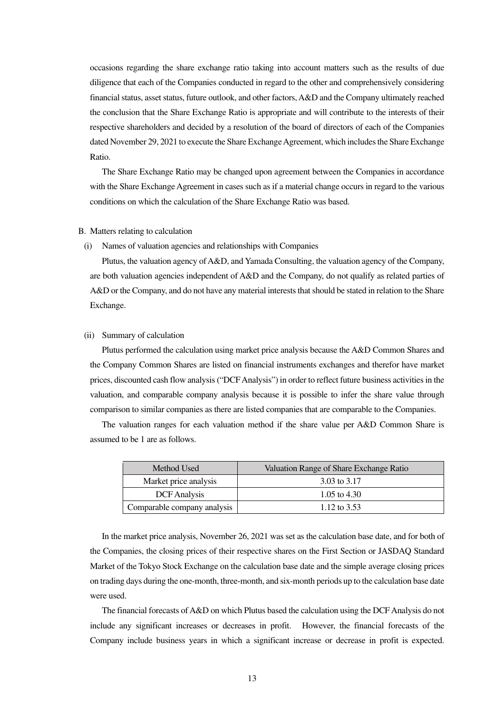occasions regarding the share exchange ratio taking into account matters such as the results of due diligence that each of the Companies conducted in regard to the other and comprehensively considering financial status, asset status, future outlook, and other factors, A&D and the Company ultimately reached the conclusion that the Share Exchange Ratio is appropriate and will contribute to the interests of their respective shareholders and decided by a resolution of the board of directors of each of the Companies dated November 29, 2021 to execute the Share Exchange Agreement, which includes the Share Exchange Ratio.

The Share Exchange Ratio may be changed upon agreement between the Companies in accordance with the Share Exchange Agreement in cases such as if a material change occurs in regard to the various conditions on which the calculation of the Share Exchange Ratio was based.

#### B. Matters relating to calculation

#### (i) Names of valuation agencies and relationships with Companies

Plutus, the valuation agency of A&D, and Yamada Consulting, the valuation agency of the Company, are both valuation agencies independent of A&D and the Company, do not qualify as related parties of A&D or the Company, and do not have any material interests that should be stated in relation to the Share Exchange.

#### (ii) Summary of calculation

Plutus performed the calculation using market price analysis because the A&D Common Shares and the Company Common Shares are listed on financial instruments exchanges and therefor have market prices, discounted cash flow analysis ("DCF Analysis") in order to reflect future business activities in the valuation, and comparable company analysis because it is possible to infer the share value through comparison to similar companies as there are listed companies that are comparable to the Companies.

The valuation ranges for each valuation method if the share value per A&D Common Share is assumed to be 1 are as follows.

| Method Used                 | Valuation Range of Share Exchange Ratio |
|-----------------------------|-----------------------------------------|
| Market price analysis       | 3.03 to 3.17                            |
| <b>DCF</b> Analysis         | 1.05 to $4.30$                          |
| Comparable company analysis | 1.12 to $3.53$                          |

In the market price analysis, November 26, 2021 was set as the calculation base date, and for both of the Companies, the closing prices of their respective shares on the First Section or JASDAQ Standard Market of the Tokyo Stock Exchange on the calculation base date and the simple average closing prices on trading days during the one-month, three-month, and six-month periods up to the calculation base date were used.

The financial forecasts of A&D on which Plutus based the calculation using the DCF Analysis do not include any significant increases or decreases in profit. However, the financial forecasts of the Company include business years in which a significant increase or decrease in profit is expected.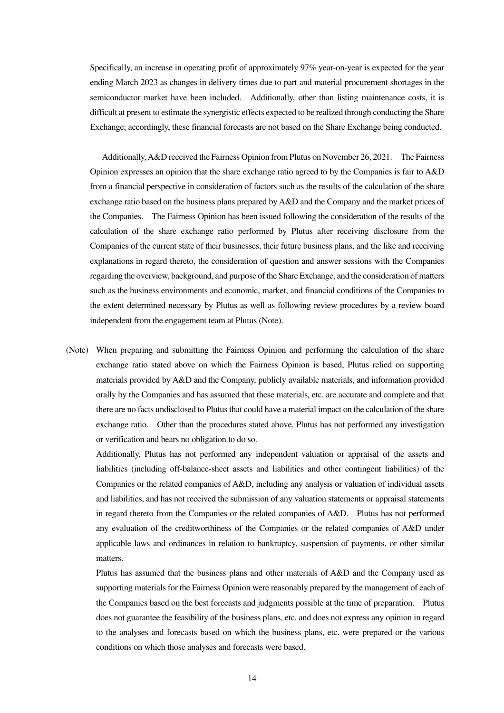Specifically, an increase in operating profit of approximately 97% year-on-year is expected for the year ending March 2023 as changes in delivery times due to part and material procurement shortages in the semiconductor market have been included. Additionally, other than listing maintenance costs, it is difficult at present to estimate the synergistic effects expected to be realized through conducting the Share Exchange; accordingly, these financial forecasts are not based on the Share Exchange being conducted.

Additionally, A&D received the Fairness Opinion from Plutus on November 26, 2021. The Fairness Opinion expresses an opinion that the share exchange ratio agreed to by the Companies is fair to A&D from a financial perspective in consideration of factors such as the results of the calculation of the share exchange ratio based on the business plans prepared by A&D and the Company and the market prices of the Companies. The Fairness Opinion has been issued following the consideration of the results of the calculation of the share exchange ratio performed by Plutus after receiving disclosure from the Companies of the current state of their businesses, their future business plans, and the like and receiving explanations in regard thereto, the consideration of question and answer sessions with the Companies regarding the overview, background, and purpose of the Share Exchange, and the consideration of matters such as the business environments and economic, market, and financial conditions of the Companies to the extent determined necessary by Plutus as well as following review procedures by a review board independent from the engagement team at Plutus (Note).

(Note) When preparing and submitting the Fairness Opinion and performing the calculation of the share exchange ratio stated above on which the Fairness Opinion is based, Plutus relied on supporting materials provided by A&D and the Company, publicly available materials, and information provided orally by the Companies and has assumed that these materials, etc. are accurate and complete and that there are no facts undisclosed to Plutus that could have a material impact on the calculation of the share exchange ratio. Other than the procedures stated above, Plutus has not performed any investigation or verification and bears no obligation to do so.

 Additionally, Plutus has not performed any independent valuation or appraisal of the assets and liabilities (including off-balance-sheet assets and liabilities and other contingent liabilities) of the Companies or the related companies of A&D, including any analysis or valuation of individual assets and liabilities, and has not received the submission of any valuation statements or appraisal statements in regard thereto from the Companies or the related companies of A&D. Plutus has not performed any evaluation of the creditworthiness of the Companies or the related companies of A&D under applicable laws and ordinances in relation to bankruptcy, suspension of payments, or other similar matters.

 Plutus has assumed that the business plans and other materials of A&D and the Company used as supporting materials for the Fairness Opinion were reasonably prepared by the management of each of the Companies based on the best forecasts and judgments possible at the time of preparation. Plutus does not guarantee the feasibility of the business plans, etc. and does not express any opinion in regard to the analyses and forecasts based on which the business plans, etc. were prepared or the various conditions on which those analyses and forecasts were based.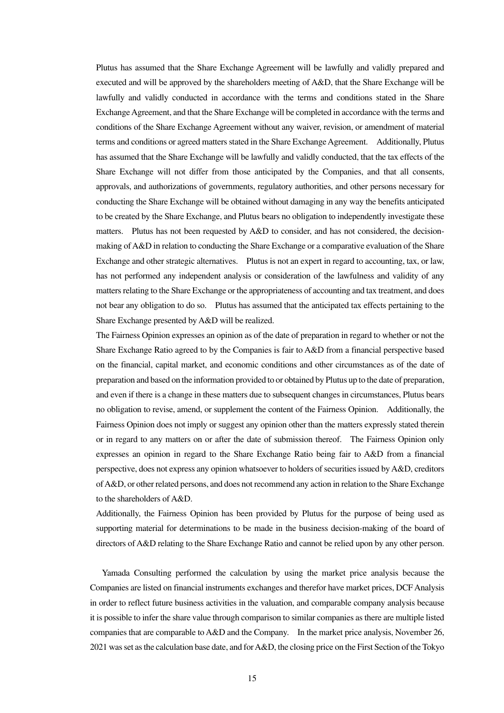Plutus has assumed that the Share Exchange Agreement will be lawfully and validly prepared and executed and will be approved by the shareholders meeting of A&D, that the Share Exchange will be lawfully and validly conducted in accordance with the terms and conditions stated in the Share Exchange Agreement, and that the Share Exchange will be completed in accordance with the terms and conditions of the Share Exchange Agreement without any waiver, revision, or amendment of material terms and conditions or agreed matters stated in the Share Exchange Agreement. Additionally, Plutus has assumed that the Share Exchange will be lawfully and validly conducted, that the tax effects of the Share Exchange will not differ from those anticipated by the Companies, and that all consents, approvals, and authorizations of governments, regulatory authorities, and other persons necessary for conducting the Share Exchange will be obtained without damaging in any way the benefits anticipated to be created by the Share Exchange, and Plutus bears no obligation to independently investigate these matters. Plutus has not been requested by A&D to consider, and has not considered, the decisionmaking of A&D in relation to conducting the Share Exchange or a comparative evaluation of the Share Exchange and other strategic alternatives. Plutus is not an expert in regard to accounting, tax, or law, has not performed any independent analysis or consideration of the lawfulness and validity of any matters relating to the Share Exchange or the appropriateness of accounting and tax treatment, and does not bear any obligation to do so. Plutus has assumed that the anticipated tax effects pertaining to the Share Exchange presented by A&D will be realized.

 The Fairness Opinion expresses an opinion as of the date of preparation in regard to whether or not the Share Exchange Ratio agreed to by the Companies is fair to A&D from a financial perspective based on the financial, capital market, and economic conditions and other circumstances as of the date of preparation and based on the information provided to or obtained by Plutus up to the date of preparation, and even if there is a change in these matters due to subsequent changes in circumstances, Plutus bears no obligation to revise, amend, or supplement the content of the Fairness Opinion. Additionally, the Fairness Opinion does not imply or suggest any opinion other than the matters expressly stated therein or in regard to any matters on or after the date of submission thereof. The Fairness Opinion only expresses an opinion in regard to the Share Exchange Ratio being fair to A&D from a financial perspective, does not express any opinion whatsoever to holders of securities issued by A&D, creditors of A&D, or other related persons, and does not recommend any action in relation to the Share Exchange to the shareholders of A&D.

 Additionally, the Fairness Opinion has been provided by Plutus for the purpose of being used as supporting material for determinations to be made in the business decision-making of the board of directors of A&D relating to the Share Exchange Ratio and cannot be relied upon by any other person.

Yamada Consulting performed the calculation by using the market price analysis because the Companies are listed on financial instruments exchanges and therefor have market prices, DCF Analysis in order to reflect future business activities in the valuation, and comparable company analysis because it is possible to infer the share value through comparison to similar companies as there are multiple listed companies that are comparable to A&D and the Company. In the market price analysis, November 26, 2021 was set as the calculation base date, and for A&D, the closing price on the First Section of the Tokyo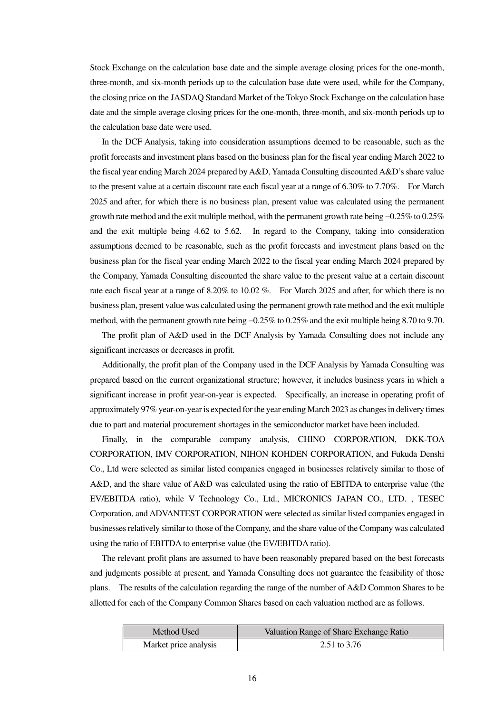Stock Exchange on the calculation base date and the simple average closing prices for the one-month, three-month, and six-month periods up to the calculation base date were used, while for the Company, the closing price on the JASDAQ Standard Market of the Tokyo Stock Exchange on the calculation base date and the simple average closing prices for the one-month, three-month, and six-month periods up to the calculation base date were used.

In the DCF Analysis, taking into consideration assumptions deemed to be reasonable, such as the profit forecasts and investment plans based on the business plan for the fiscal year ending March 2022 to the fiscal year ending March 2024 prepared by A&D, Yamada Consulting discounted A&D's share value to the present value at a certain discount rate each fiscal year at a range of 6.30% to 7.70%. For March 2025 and after, for which there is no business plan, present value was calculated using the permanent growth rate method and the exit multiple method, with the permanent growth rate being −0.25% to 0.25% and the exit multiple being 4.62 to 5.62. In regard to the Company, taking into consideration assumptions deemed to be reasonable, such as the profit forecasts and investment plans based on the business plan for the fiscal year ending March 2022 to the fiscal year ending March 2024 prepared by the Company, Yamada Consulting discounted the share value to the present value at a certain discount rate each fiscal year at a range of 8.20% to 10.02 %. For March 2025 and after, for which there is no business plan, present value was calculated using the permanent growth rate method and the exit multiple method, with the permanent growth rate being −0.25% to 0.25% and the exit multiple being 8.70 to 9.70.

The profit plan of A&D used in the DCF Analysis by Yamada Consulting does not include any significant increases or decreases in profit.

Additionally, the profit plan of the Company used in the DCF Analysis by Yamada Consulting was prepared based on the current organizational structure; however, it includes business years in which a significant increase in profit year-on-year is expected. Specifically, an increase in operating profit of approximately 97% year-on-year is expected for the year ending March 2023 as changes in delivery times due to part and material procurement shortages in the semiconductor market have been included.

Finally, in the comparable company analysis, CHINO CORPORATION, DKK-TOA CORPORATION, IMV CORPORATION, NIHON KOHDEN CORPORATION, and Fukuda Denshi Co., Ltd were selected as similar listed companies engaged in businesses relatively similar to those of A&D, and the share value of A&D was calculated using the ratio of EBITDA to enterprise value (the EV/EBITDA ratio), while V Technology Co., Ltd., MICRONICS JAPAN CO., LTD. , TESEC Corporation, and ADVANTEST CORPORATION were selected as similar listed companies engaged in businesses relatively similar to those of the Company, and the share value of the Company was calculated using the ratio of EBITDA to enterprise value (the EV/EBITDA ratio).

The relevant profit plans are assumed to have been reasonably prepared based on the best forecasts and judgments possible at present, and Yamada Consulting does not guarantee the feasibility of those plans. The results of the calculation regarding the range of the number of A&D Common Shares to be allotted for each of the Company Common Shares based on each valuation method are as follows.

| Method Used           | Valuation Range of Share Exchange Ratio |
|-----------------------|-----------------------------------------|
| Market price analysis | 2.51 to $3.76$                          |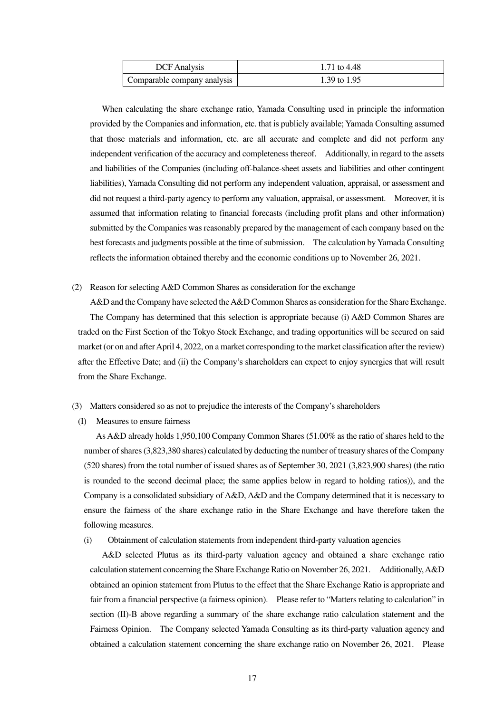| <b>DCF</b> Analysis         | 1.71 to 4.48 |
|-----------------------------|--------------|
| Comparable company analysis | 1.39 to 1.95 |

When calculating the share exchange ratio, Yamada Consulting used in principle the information provided by the Companies and information, etc. that is publicly available; Yamada Consulting assumed that those materials and information, etc. are all accurate and complete and did not perform any independent verification of the accuracy and completeness thereof. Additionally, in regard to the assets and liabilities of the Companies (including off-balance-sheet assets and liabilities and other contingent liabilities), Yamada Consulting did not perform any independent valuation, appraisal, or assessment and did not request a third-party agency to perform any valuation, appraisal, or assessment. Moreover, it is assumed that information relating to financial forecasts (including profit plans and other information) submitted by the Companies was reasonably prepared by the management of each company based on the best forecasts and judgments possible at the time of submission. The calculation by Yamada Consulting reflects the information obtained thereby and the economic conditions up to November 26, 2021.

(2) Reason for selecting A&D Common Shares as consideration for the exchange

A&D and the Company have selected the A&D Common Shares as consideration for the Share Exchange. The Company has determined that this selection is appropriate because (i) A&D Common Shares are traded on the First Section of the Tokyo Stock Exchange, and trading opportunities will be secured on said market (or on and after April 4, 2022, on a market corresponding to the market classification after the review) after the Effective Date; and (ii) the Company's shareholders can expect to enjoy synergies that will result from the Share Exchange.

- (3) Matters considered so as not to prejudice the interests of the Company's shareholders
	- (I) Measures to ensure fairness

As A&D already holds 1,950,100 Company Common Shares (51.00% as the ratio of shares held to the number of shares (3,823,380 shares) calculated by deducting the number of treasury shares of the Company (520 shares) from the total number of issued shares as of September 30, 2021 (3,823,900 shares) (the ratio is rounded to the second decimal place; the same applies below in regard to holding ratios)), and the Company is a consolidated subsidiary of A&D, A&D and the Company determined that it is necessary to ensure the fairness of the share exchange ratio in the Share Exchange and have therefore taken the following measures.

(i) Obtainment of calculation statements from independent third-party valuation agencies

A&D selected Plutus as its third-party valuation agency and obtained a share exchange ratio calculation statement concerning the Share Exchange Ratio on November 26, 2021. Additionally, A&D obtained an opinion statement from Plutus to the effect that the Share Exchange Ratio is appropriate and fair from a financial perspective (a fairness opinion). Please refer to "Matters relating to calculation" in section (II)-B above regarding a summary of the share exchange ratio calculation statement and the Fairness Opinion. The Company selected Yamada Consulting as its third-party valuation agency and obtained a calculation statement concerning the share exchange ratio on November 26, 2021. Please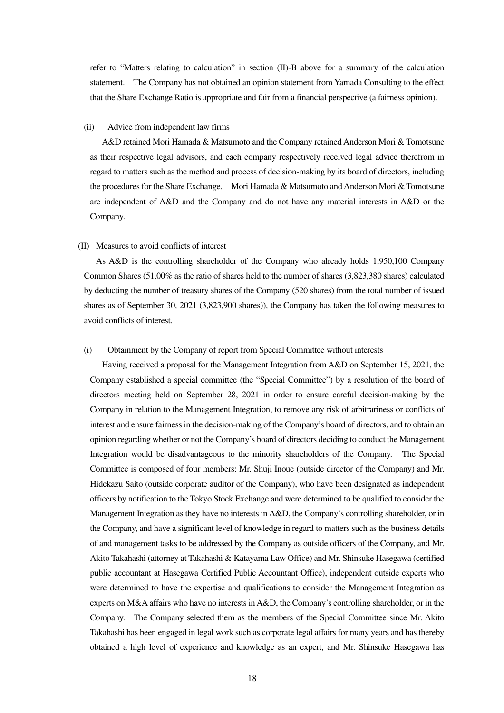refer to "Matters relating to calculation" in section (II)-B above for a summary of the calculation statement. The Company has not obtained an opinion statement from Yamada Consulting to the effect that the Share Exchange Ratio is appropriate and fair from a financial perspective (a fairness opinion).

#### (ii) Advice from independent law firms

A&D retained Mori Hamada & Matsumoto and the Company retained Anderson Mori & Tomotsune as their respective legal advisors, and each company respectively received legal advice therefrom in regard to matters such as the method and process of decision-making by its board of directors, including the procedures for the Share Exchange. Mori Hamada & Matsumoto and Anderson Mori & Tomotsune are independent of A&D and the Company and do not have any material interests in A&D or the Company.

#### (II) Measures to avoid conflicts of interest

As A&D is the controlling shareholder of the Company who already holds 1,950,100 Company Common Shares (51.00% as the ratio of shares held to the number of shares (3,823,380 shares) calculated by deducting the number of treasury shares of the Company (520 shares) from the total number of issued shares as of September 30, 2021 (3,823,900 shares)), the Company has taken the following measures to avoid conflicts of interest.

#### (i) Obtainment by the Company of report from Special Committee without interests

Having received a proposal for the Management Integration from A&D on September 15, 2021, the Company established a special committee (the "Special Committee") by a resolution of the board of directors meeting held on September 28, 2021 in order to ensure careful decision-making by the Company in relation to the Management Integration, to remove any risk of arbitrariness or conflicts of interest and ensure fairness in the decision-making of the Company's board of directors, and to obtain an opinion regarding whether or not the Company's board of directors deciding to conduct the Management Integration would be disadvantageous to the minority shareholders of the Company. The Special Committee is composed of four members: Mr. Shuji Inoue (outside director of the Company) and Mr. Hidekazu Saito (outside corporate auditor of the Company), who have been designated as independent officers by notification to the Tokyo Stock Exchange and were determined to be qualified to consider the Management Integration as they have no interests in A&D, the Company's controlling shareholder, or in the Company, and have a significant level of knowledge in regard to matters such as the business details of and management tasks to be addressed by the Company as outside officers of the Company, and Mr. Akito Takahashi (attorney at Takahashi & Katayama Law Office) and Mr. Shinsuke Hasegawa (certified public accountant at Hasegawa Certified Public Accountant Office), independent outside experts who were determined to have the expertise and qualifications to consider the Management Integration as experts on M&A affairs who have no interests in A&D, the Company's controlling shareholder, or in the Company. The Company selected them as the members of the Special Committee since Mr. Akito Takahashi has been engaged in legal work such as corporate legal affairs for many years and has thereby obtained a high level of experience and knowledge as an expert, and Mr. Shinsuke Hasegawa has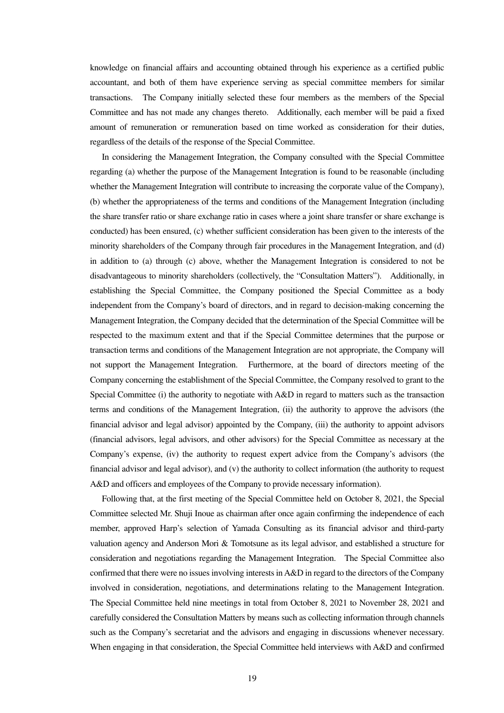knowledge on financial affairs and accounting obtained through his experience as a certified public accountant, and both of them have experience serving as special committee members for similar transactions. The Company initially selected these four members as the members of the Special Committee and has not made any changes thereto. Additionally, each member will be paid a fixed amount of remuneration or remuneration based on time worked as consideration for their duties, regardless of the details of the response of the Special Committee.

In considering the Management Integration, the Company consulted with the Special Committee regarding (a) whether the purpose of the Management Integration is found to be reasonable (including whether the Management Integration will contribute to increasing the corporate value of the Company), (b) whether the appropriateness of the terms and conditions of the Management Integration (including the share transfer ratio or share exchange ratio in cases where a joint share transfer or share exchange is conducted) has been ensured, (c) whether sufficient consideration has been given to the interests of the minority shareholders of the Company through fair procedures in the Management Integration, and (d) in addition to (a) through (c) above, whether the Management Integration is considered to not be disadvantageous to minority shareholders (collectively, the "Consultation Matters"). Additionally, in establishing the Special Committee, the Company positioned the Special Committee as a body independent from the Company's board of directors, and in regard to decision-making concerning the Management Integration, the Company decided that the determination of the Special Committee will be respected to the maximum extent and that if the Special Committee determines that the purpose or transaction terms and conditions of the Management Integration are not appropriate, the Company will not support the Management Integration. Furthermore, at the board of directors meeting of the Company concerning the establishment of the Special Committee, the Company resolved to grant to the Special Committee (i) the authority to negotiate with A&D in regard to matters such as the transaction terms and conditions of the Management Integration, (ii) the authority to approve the advisors (the financial advisor and legal advisor) appointed by the Company, (iii) the authority to appoint advisors (financial advisors, legal advisors, and other advisors) for the Special Committee as necessary at the Company's expense, (iv) the authority to request expert advice from the Company's advisors (the financial advisor and legal advisor), and (v) the authority to collect information (the authority to request A&D and officers and employees of the Company to provide necessary information).

Following that, at the first meeting of the Special Committee held on October 8, 2021, the Special Committee selected Mr. Shuji Inoue as chairman after once again confirming the independence of each member, approved Harp's selection of Yamada Consulting as its financial advisor and third-party valuation agency and Anderson Mori & Tomotsune as its legal advisor, and established a structure for consideration and negotiations regarding the Management Integration. The Special Committee also confirmed that there were no issues involving interests in A&D in regard to the directors of the Company involved in consideration, negotiations, and determinations relating to the Management Integration. The Special Committee held nine meetings in total from October 8, 2021 to November 28, 2021 and carefully considered the Consultation Matters by means such as collecting information through channels such as the Company's secretariat and the advisors and engaging in discussions whenever necessary. When engaging in that consideration, the Special Committee held interviews with A&D and confirmed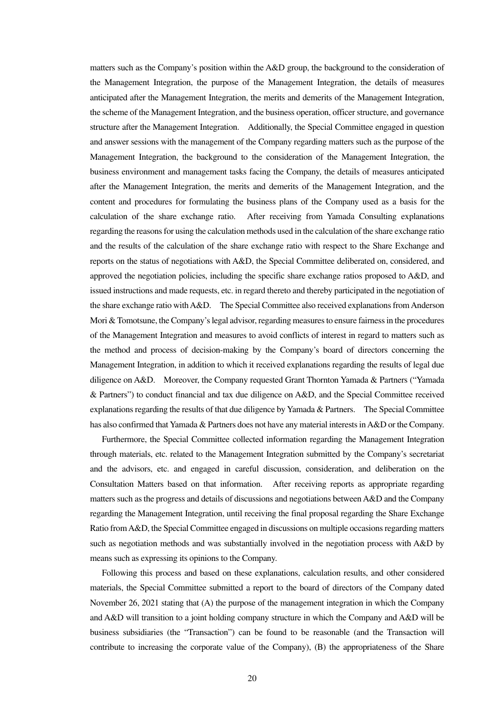matters such as the Company's position within the A&D group, the background to the consideration of the Management Integration, the purpose of the Management Integration, the details of measures anticipated after the Management Integration, the merits and demerits of the Management Integration, the scheme of the Management Integration, and the business operation, officer structure, and governance structure after the Management Integration. Additionally, the Special Committee engaged in question and answer sessions with the management of the Company regarding matters such as the purpose of the Management Integration, the background to the consideration of the Management Integration, the business environment and management tasks facing the Company, the details of measures anticipated after the Management Integration, the merits and demerits of the Management Integration, and the content and procedures for formulating the business plans of the Company used as a basis for the calculation of the share exchange ratio. After receiving from Yamada Consulting explanations regarding the reasons for using the calculation methods used in the calculation of the share exchange ratio and the results of the calculation of the share exchange ratio with respect to the Share Exchange and reports on the status of negotiations with A&D, the Special Committee deliberated on, considered, and approved the negotiation policies, including the specific share exchange ratios proposed to A&D, and issued instructions and made requests, etc. in regard thereto and thereby participated in the negotiation of the share exchange ratio with A&D. The Special Committee also received explanations from Anderson Mori & Tomotsune, the Company's legal advisor, regarding measures to ensure fairness in the procedures of the Management Integration and measures to avoid conflicts of interest in regard to matters such as the method and process of decision-making by the Company's board of directors concerning the Management Integration, in addition to which it received explanations regarding the results of legal due diligence on A&D. Moreover, the Company requested Grant Thornton Yamada & Partners ("Yamada & Partners") to conduct financial and tax due diligence on A&D, and the Special Committee received explanations regarding the results of that due diligence by Yamada & Partners. The Special Committee has also confirmed that Yamada & Partners does not have any material interests in A&D or the Company.

Furthermore, the Special Committee collected information regarding the Management Integration through materials, etc. related to the Management Integration submitted by the Company's secretariat and the advisors, etc. and engaged in careful discussion, consideration, and deliberation on the Consultation Matters based on that information. After receiving reports as appropriate regarding matters such as the progress and details of discussions and negotiations between A&D and the Company regarding the Management Integration, until receiving the final proposal regarding the Share Exchange Ratio from A&D, the Special Committee engaged in discussions on multiple occasions regarding matters such as negotiation methods and was substantially involved in the negotiation process with A&D by means such as expressing its opinions to the Company.

Following this process and based on these explanations, calculation results, and other considered materials, the Special Committee submitted a report to the board of directors of the Company dated November 26, 2021 stating that (A) the purpose of the management integration in which the Company and A&D will transition to a joint holding company structure in which the Company and A&D will be business subsidiaries (the "Transaction") can be found to be reasonable (and the Transaction will contribute to increasing the corporate value of the Company), (B) the appropriateness of the Share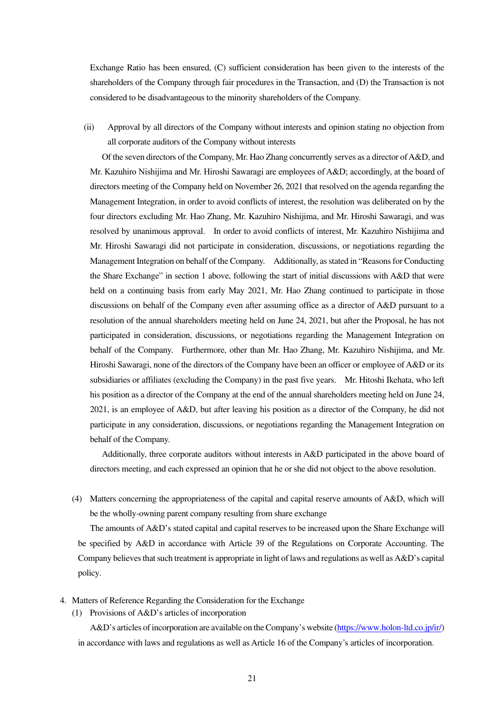Exchange Ratio has been ensured, (C) sufficient consideration has been given to the interests of the shareholders of the Company through fair procedures in the Transaction, and (D) the Transaction is not considered to be disadvantageous to the minority shareholders of the Company.

(ii) Approval by all directors of the Company without interests and opinion stating no objection from all corporate auditors of the Company without interests

Of the seven directors of the Company, Mr. Hao Zhang concurrently serves as a director of A&D, and Mr. Kazuhiro Nishijima and Mr. Hiroshi Sawaragi are employees of A&D; accordingly, at the board of directors meeting of the Company held on November 26, 2021 that resolved on the agenda regarding the Management Integration, in order to avoid conflicts of interest, the resolution was deliberated on by the four directors excluding Mr. Hao Zhang, Mr. Kazuhiro Nishijima, and Mr. Hiroshi Sawaragi, and was resolved by unanimous approval. In order to avoid conflicts of interest, Mr. Kazuhiro Nishijima and Mr. Hiroshi Sawaragi did not participate in consideration, discussions, or negotiations regarding the Management Integration on behalf of the Company. Additionally, as stated in "Reasons for Conducting the Share Exchange" in section 1 above, following the start of initial discussions with A&D that were held on a continuing basis from early May 2021, Mr. Hao Zhang continued to participate in those discussions on behalf of the Company even after assuming office as a director of A&D pursuant to a resolution of the annual shareholders meeting held on June 24, 2021, but after the Proposal, he has not participated in consideration, discussions, or negotiations regarding the Management Integration on behalf of the Company. Furthermore, other than Mr. Hao Zhang, Mr. Kazuhiro Nishijima, and Mr. Hiroshi Sawaragi, none of the directors of the Company have been an officer or employee of A&D or its subsidiaries or affiliates (excluding the Company) in the past five years. Mr. Hitoshi Ikehata, who left his position as a director of the Company at the end of the annual shareholders meeting held on June 24, 2021, is an employee of A&D, but after leaving his position as a director of the Company, he did not participate in any consideration, discussions, or negotiations regarding the Management Integration on behalf of the Company.

Additionally, three corporate auditors without interests in A&D participated in the above board of directors meeting, and each expressed an opinion that he or she did not object to the above resolution.

(4) Matters concerning the appropriateness of the capital and capital reserve amounts of A&D, which will be the wholly-owning parent company resulting from share exchange

The amounts of A&D's stated capital and capital reserves to be increased upon the Share Exchange will be specified by A&D in accordance with Article 39 of the Regulations on Corporate Accounting. The Company believes that such treatment is appropriate in light of laws and regulations as well as A&D's capital policy.

- 4. Matters of Reference Regarding the Consideration for the Exchange
	- (1) Provisions of A&D's articles of incorporation

A&D's articles of incorporation are available on the Company's website (https://www.holon-ltd.co.jp/ir/) in accordance with laws and regulations as well as Article 16 of the Company's articles of incorporation.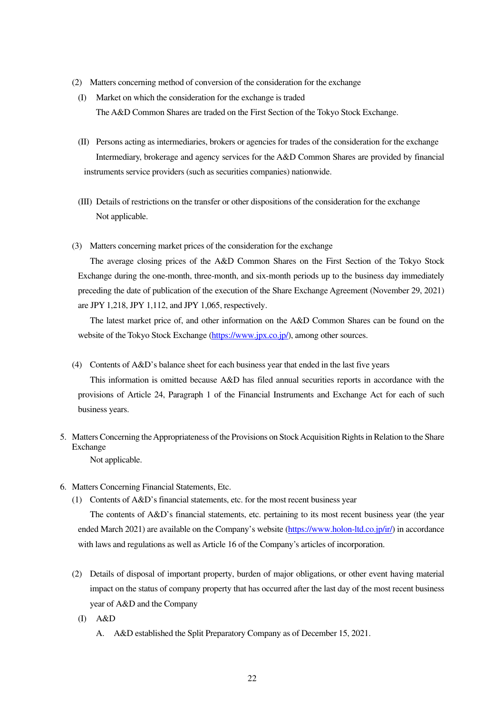- (2) Matters concerning method of conversion of the consideration for the exchange
- (I) Market on which the consideration for the exchange is traded The A&D Common Shares are traded on the First Section of the Tokyo Stock Exchange.
- (II) Persons acting as intermediaries, brokers or agencies for trades of the consideration for the exchange Intermediary, brokerage and agency services for the A&D Common Shares are provided by financial instruments service providers (such as securities companies) nationwide.
- (III) Details of restrictions on the transfer or other dispositions of the consideration for the exchange Not applicable.
- (3) Matters concerning market prices of the consideration for the exchange

The average closing prices of the A&D Common Shares on the First Section of the Tokyo Stock Exchange during the one-month, three-month, and six-month periods up to the business day immediately preceding the date of publication of the execution of the Share Exchange Agreement (November 29, 2021) are JPY 1,218, JPY 1,112, and JPY 1,065, respectively.

The latest market price of, and other information on the A&D Common Shares can be found on the website of the Tokyo Stock Exchange (https://www.jpx.co.jp/), among other sources.

(4) Contents of A&D's balance sheet for each business year that ended in the last five years

This information is omitted because A&D has filed annual securities reports in accordance with the provisions of Article 24, Paragraph 1 of the Financial Instruments and Exchange Act for each of such business years.

5. Matters Concerning the Appropriateness of the Provisions on Stock Acquisition Rights in Relation to the Share Exchange

Not applicable.

- 6. Matters Concerning Financial Statements, Etc.
	- (1) Contents of A&D's financial statements, etc. for the most recent business year

The contents of A&D's financial statements, etc. pertaining to its most recent business year (the year ended March 2021) are available on the Company's website (https://www.holon-ltd.co.jp/ir/) in accordance with laws and regulations as well as Article 16 of the Company's articles of incorporation.

- (2) Details of disposal of important property, burden of major obligations, or other event having material impact on the status of company property that has occurred after the last day of the most recent business year of A&D and the Company
	- (I) A&D
		- A. A&D established the Split Preparatory Company as of December 15, 2021.